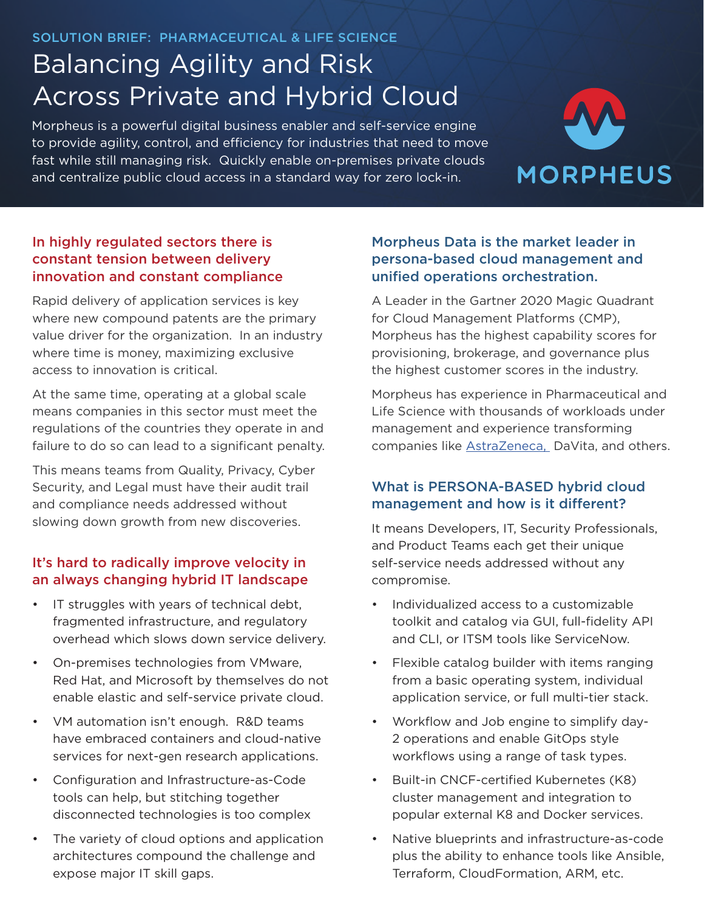SOLUTION BRIEF: PHARMACEUTICAL & LIFE SCIENCE

# Balancing Agility and Risk Across Private and Hybrid Cloud

Morpheus is a powerful digital business enabler and self-service engine to provide agility, control, and efficiency for industries that need to move fast while still managing risk. Quickly enable on-premises private clouds and centralize public cloud access in a standard way for zero lock-in.



#### In highly regulated sectors there is constant tension between delivery innovation and constant compliance

Rapid delivery of application services is key where new compound patents are the primary value driver for the organization. In an industry where time is money, maximizing exclusive access to innovation is critical.

At the same time, operating at a global scale means companies in this sector must meet the regulations of the countries they operate in and failure to do so can lead to a significant penalty.

This means teams from Quality, Privacy, Cyber Security, and Legal must have their audit trail and compliance needs addressed without slowing down growth from new discoveries.

#### It's hard to radically improve velocity in an always changing hybrid IT landscape

- IT struggles with years of technical debt, fragmented infrastructure, and regulatory overhead which slows down service delivery.
- On-premises technologies from VMware, Red Hat, and Microsoft by themselves do not enable elastic and self-service private cloud.
- VM automation isn't enough. R&D teams have embraced containers and cloud-native services for next-gen research applications.
- Configuration and Infrastructure-as-Code tools can help, but stitching together disconnected technologies is too complex
- The variety of cloud options and application architectures compound the challenge and expose major IT skill gaps.

#### Morpheus Data is the market leader in persona-based cloud management and unified operations orchestration.

A Leader in the Gartner 2020 Magic Quadrant for Cloud Management Platforms (CMP), Morpheus has the highest capability scores for provisioning, brokerage, and governance plus the highest customer scores in the industry.

Morpheus has experience in Pharmaceutical and Life Science with thousands of workloads under management and experience transforming companies like AstraZeneca, DaVita, and others.

#### What is PERSONA-BASED hybrid cloud management and how is it different?

It means Developers, IT, Security Professionals, and Product Teams each get their unique self-service needs addressed without any compromise.

- Individualized access to a customizable toolkit and catalog via GUI, full-fidelity API and CLI, or ITSM tools like ServiceNow.
- Flexible catalog builder with items ranging from a basic operating system, individual application service, or full multi-tier stack.
- Workflow and Job engine to simplify day-2 operations and enable GitOps style workflows using a range of task types.
- Built-in CNCF-certified Kubernetes (K8) cluster management and integration to popular external K8 and Docker services.
- Native blueprints and infrastructure-as-code plus the ability to enhance tools like Ansible, Terraform, CloudFormation, ARM, etc.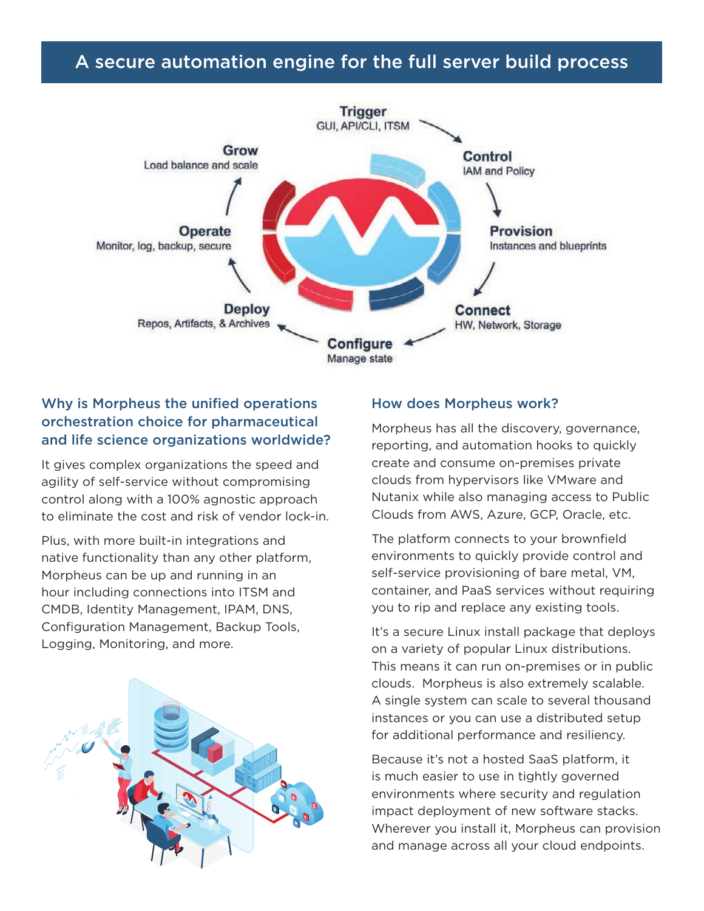## A secure automation engine for the full server build process



#### Why is Morpheus the unified operations orchestration choice for pharmaceutical and life science organizations worldwide?

It gives complex organizations the speed and agility of self-service without compromising control along with a 100% agnostic approach to eliminate the cost and risk of vendor lock-in.

Plus, with more built-in integrations and native functionality than any other platform, Morpheus can be up and running in an hour including connections into ITSM and CMDB, Identity Management, IPAM, DNS, Configuration Management, Backup Tools, Logging, Monitoring, and more.



#### How does Morpheus work?

Morpheus has all the discovery, governance, reporting, and automation hooks to quickly create and consume on-premises private clouds from hypervisors like VMware and Nutanix while also managing access to Public Clouds from AWS, Azure, GCP, Oracle, etc.

The platform connects to your brownfield environments to quickly provide control and self-service provisioning of bare metal, VM, container, and PaaS services without requiring you to rip and replace any existing tools.

It's a secure Linux install package that deploys on a variety of popular Linux distributions. This means it can run on-premises or in public clouds. Morpheus is also extremely scalable. A single system can scale to several thousand instances or you can use a distributed setup for additional performance and resiliency.

Because it's not a hosted SaaS platform, it is much easier to use in tightly governed environments where security and regulation impact deployment of new software stacks. Wherever you install it, Morpheus can provision and manage across all your cloud endpoints.